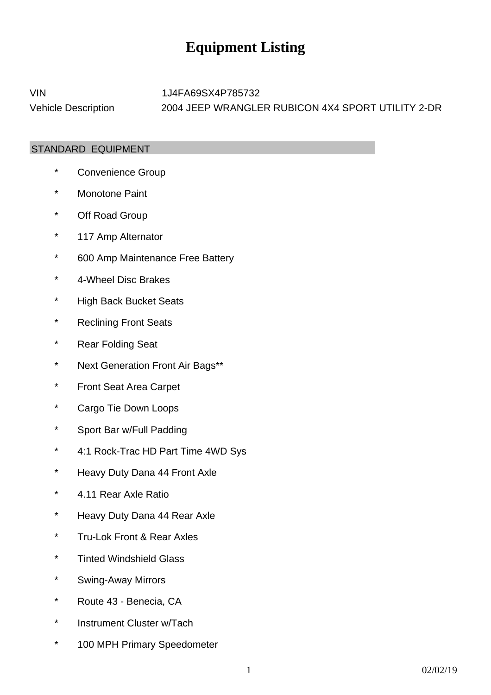## **Equipment Listing**

VIN 1J4FA69SX4P785732 Vehicle Description 2004 JEEP WRANGLER RUBICON 4X4 SPORT UTILITY 2-DR

## STANDARD EQUIPMENT

- \* Convenience Group
- \* Monotone Paint
- \* Off Road Group
- \* 117 Amp Alternator
- \* 600 Amp Maintenance Free Battery
- \* 4-Wheel Disc Brakes
- \* High Back Bucket Seats
- \* Reclining Front Seats
- \* Rear Folding Seat
- \* Next Generation Front Air Bags\*\*
- \* Front Seat Area Carpet
- \* Cargo Tie Down Loops
- \* Sport Bar w/Full Padding
- \* 4:1 Rock-Trac HD Part Time 4WD Sys
- \* Heavy Duty Dana 44 Front Axle
- \* 4.11 Rear Axle Ratio
- \* Heavy Duty Dana 44 Rear Axle
- \* Tru-Lok Front & Rear Axles
- \* Tinted Windshield Glass
- \* Swing-Away Mirrors
- \* Route 43 - Benecia, CA
- \* Instrument Cluster w/Tach
- \* 100 MPH Primary Speedometer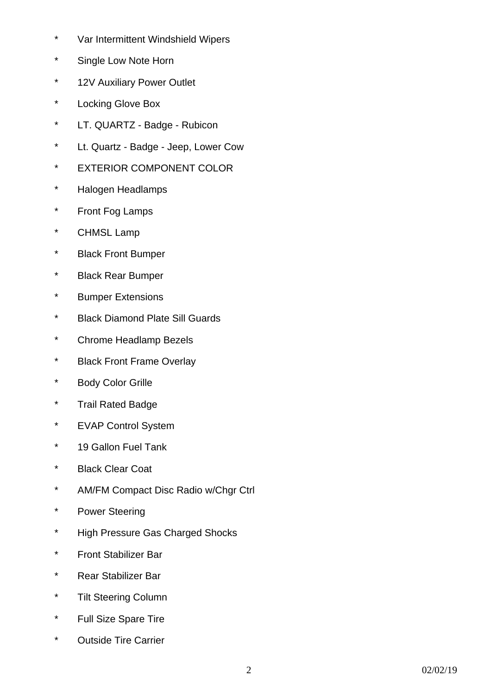- \* Var Intermittent Windshield Wipers
- \* Single Low Note Horn
- \* 12V Auxiliary Power Outlet
- \* Locking Glove Box
- \* LT. QUARTZ - Badge - Rubicon
- \* Lt. Quartz - Badge - Jeep, Lower Cow
- \* EXTERIOR COMPONENT COLOR
- \* Halogen Headlamps
- \* Front Fog Lamps
- \* CHMSL Lamp
- \* Black Front Bumper
- \* Black Rear Bumper
- \* Bumper Extensions
- \* Black Diamond Plate Sill Guards
- \* Chrome Headlamp Bezels
- \* Black Front Frame Overlay
- \* Body Color Grille
- \* Trail Rated Badge
- \* EVAP Control System
- \* 19 Gallon Fuel Tank
- \* Black Clear Coat
- \* AM/FM Compact Disc Radio w/Chgr Ctrl
- \* Power Steering
- \* High Pressure Gas Charged Shocks
- \* Front Stabilizer Bar
- \* Rear Stabilizer Bar
- \* Tilt Steering Column
- \* Full Size Spare Tire
- \* Outside Tire Carrier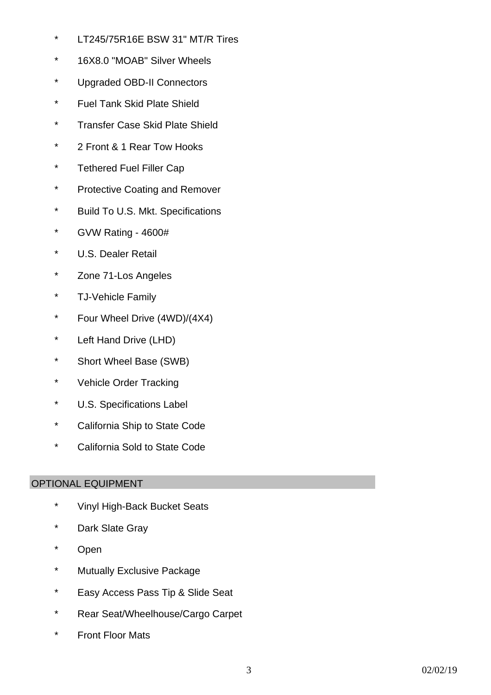- \* LT245/75R16E BSW 31" MT/R Tires
- \* 16X8.0 "MOAB" Silver Wheels
- \* Upgraded OBD-II Connectors
- \* Fuel Tank Skid Plate Shield
- \* Transfer Case Skid Plate Shield
- \* 2 Front & 1 Rear Tow Hooks
- \* Tethered Fuel Filler Cap
- \* Protective Coating and Remover
- \* Build To U.S. Mkt. Specifications
- \* GVW Rating - 4600#
- \* U.S. Dealer Retail
- \* Zone 71-Los Angeles
- \* TJ-Vehicle Family
- \* Four Wheel Drive (4WD)/(4X4)
- \* Left Hand Drive (LHD)
- \* Short Wheel Base (SWB)
- \* Vehicle Order Tracking
- \* U.S. Specifications Label
- \* California Ship to State Code
- \* California Sold to State Code

## OPTIONAL EQUIPMENT

- \* Vinyl High-Back Bucket Seats
- \* Dark Slate Gray
- \* Open
- \* Mutually Exclusive Package
- \* Easy Access Pass Tip & Slide Seat
- \* Rear Seat/Wheelhouse/Cargo Carpet
- \* Front Floor Mats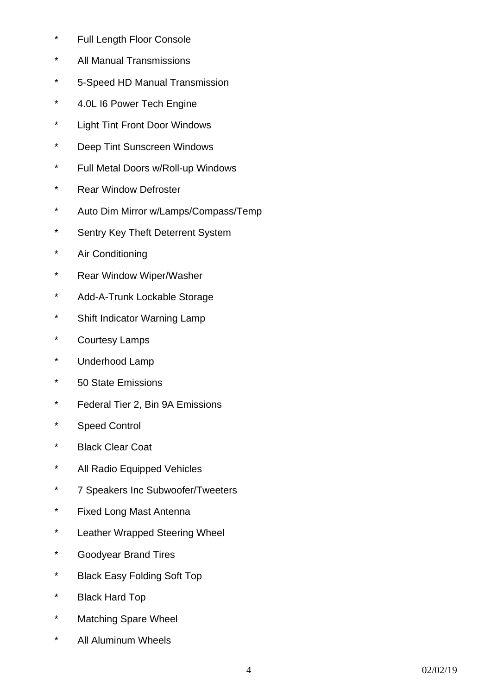- \* Full Length Floor Console
- \* All Manual Transmissions
- \* 5-Speed HD Manual Transmission
- \* 4.0L I6 Power Tech Engine
- \* Light Tint Front Door Windows
- \* Deep Tint Sunscreen Windows
- \* Full Metal Doors w/Roll-up Windows
- \* Rear Window Defroster
- \* Auto Dim Mirror w/Lamps/Compass/Temp
- \* Sentry Key Theft Deterrent System
- \* Air Conditioning
- \* Rear Window Wiper/Washer
- \* Add-A-Trunk Lockable Storage
- \* Shift Indicator Warning Lamp
- \* Courtesy Lamps
- \* Underhood Lamp
- \* 50 State Emissions
- \* Federal Tier 2, Bin 9A Emissions
- \* Speed Control
- \* Black Clear Coat
- \* All Radio Equipped Vehicles
- \* 7 Speakers Inc Subwoofer/Tweeters
- \* Fixed Long Mast Antenna
- \* Leather Wrapped Steering Wheel
- \* Goodyear Brand Tires
- \* Black Easy Folding Soft Top
- \* Black Hard Top
- \* Matching Spare Wheel
- \* All Aluminum Wheels